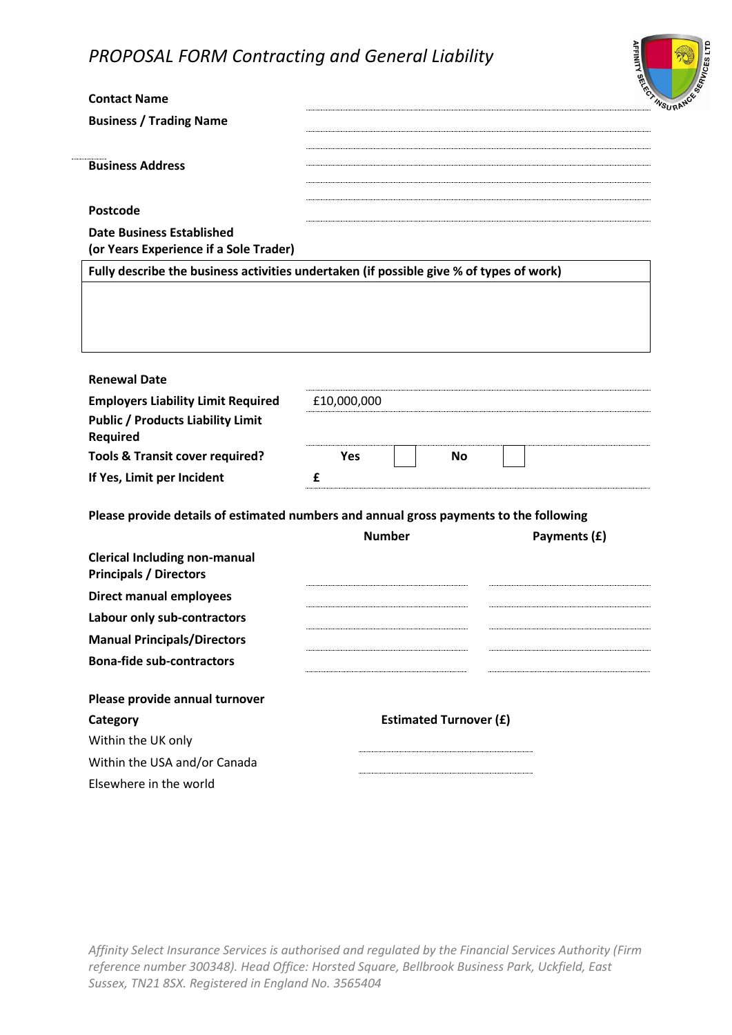

| <b>Contact Name</b>                                                                     |                               |              |
|-----------------------------------------------------------------------------------------|-------------------------------|--------------|
| <b>Business / Trading Name</b>                                                          |                               |              |
|                                                                                         |                               |              |
| <b>Business Address</b>                                                                 |                               |              |
|                                                                                         |                               |              |
| <b>Postcode</b>                                                                         |                               |              |
| <b>Date Business Established</b><br>(or Years Experience if a Sole Trader)              |                               |              |
| Fully describe the business activities undertaken (if possible give % of types of work) |                               |              |
|                                                                                         |                               |              |
|                                                                                         |                               |              |
| <b>Renewal Date</b>                                                                     |                               |              |
| <b>Employers Liability Limit Required</b>                                               | £10,000,000                   |              |
| <b>Public / Products Liability Limit</b><br>Required                                    |                               |              |
| <b>Tools &amp; Transit cover required?</b>                                              | <b>Yes</b><br><b>No</b>       |              |
| If Yes, Limit per Incident                                                              | £                             |              |
| Please provide details of estimated numbers and annual gross payments to the following  |                               |              |
|                                                                                         | <b>Number</b>                 | Payments (£) |
| <b>Clerical Including non-manual</b><br><b>Principals / Directors</b>                   |                               |              |
| <b>Direct manual employees</b>                                                          |                               |              |
| Labour only sub-contractors                                                             |                               |              |
| <b>Manual Principals/Directors</b>                                                      |                               |              |
| <b>Bona-fide sub-contractors</b>                                                        |                               |              |
| Please provide annual turnover                                                          |                               |              |
| Category                                                                                | <b>Estimated Turnover (£)</b> |              |
| Within the UK only                                                                      |                               |              |
| Within the USA and/or Canada                                                            |                               |              |
| Elsewhere in the world                                                                  |                               |              |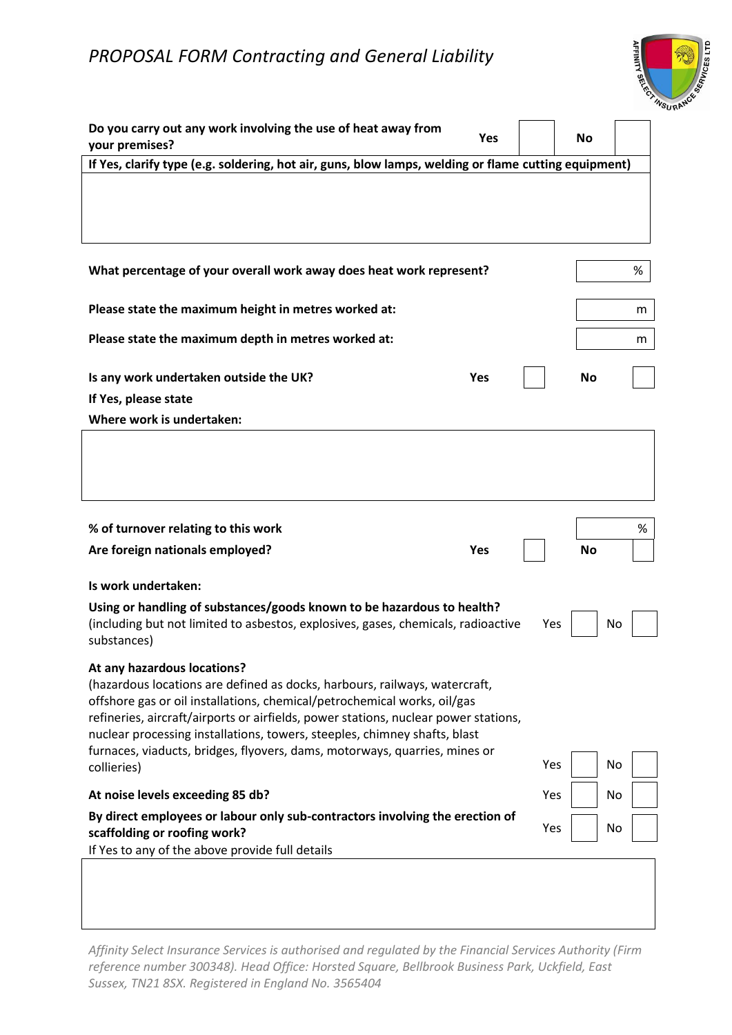

| Do you carry out any work involving the use of heat away from<br>Yes<br>your premises?                                                                                                                                                                                                                                                                                   |     | No        |      |
|--------------------------------------------------------------------------------------------------------------------------------------------------------------------------------------------------------------------------------------------------------------------------------------------------------------------------------------------------------------------------|-----|-----------|------|
| If Yes, clarify type (e.g. soldering, hot air, guns, blow lamps, welding or flame cutting equipment)                                                                                                                                                                                                                                                                     |     |           |      |
|                                                                                                                                                                                                                                                                                                                                                                          |     |           |      |
| What percentage of your overall work away does heat work represent?                                                                                                                                                                                                                                                                                                      |     |           | %    |
| Please state the maximum height in metres worked at:                                                                                                                                                                                                                                                                                                                     |     |           | m    |
| Please state the maximum depth in metres worked at:                                                                                                                                                                                                                                                                                                                      |     |           | m    |
| Is any work undertaken outside the UK?<br><b>Yes</b>                                                                                                                                                                                                                                                                                                                     |     | <b>No</b> |      |
| If Yes, please state                                                                                                                                                                                                                                                                                                                                                     |     |           |      |
| Where work is undertaken:                                                                                                                                                                                                                                                                                                                                                |     |           |      |
|                                                                                                                                                                                                                                                                                                                                                                          |     |           |      |
| % of turnover relating to this work                                                                                                                                                                                                                                                                                                                                      |     |           | $\%$ |
| Are foreign nationals employed?<br><b>Yes</b>                                                                                                                                                                                                                                                                                                                            |     | No        |      |
| Is work undertaken:                                                                                                                                                                                                                                                                                                                                                      |     |           |      |
| Using or handling of substances/goods known to be hazardous to health?<br>(including but not limited to asbestos, explosives, gases, chemicals, radioactive                                                                                                                                                                                                              | Yes |           | No   |
| substances)<br>At any hazardous locations?<br>(hazardous locations are defined as docks, harbours, railways, watercraft,<br>offshore gas or oil installations, chemical/petrochemical works, oil/gas<br>refineries, aircraft/airports or airfields, power stations, nuclear power stations,<br>nuclear processing installations, towers, steeples, chimney shafts, blast |     |           |      |
| furnaces, viaducts, bridges, flyovers, dams, motorways, quarries, mines or<br>collieries)                                                                                                                                                                                                                                                                                | Yes |           | No   |
| At noise levels exceeding 85 db?                                                                                                                                                                                                                                                                                                                                         | Yes |           | No   |
| By direct employees or labour only sub-contractors involving the erection of<br>scaffolding or roofing work?<br>If Yes to any of the above provide full details                                                                                                                                                                                                          | Yes |           | No   |
|                                                                                                                                                                                                                                                                                                                                                                          |     |           |      |

*Affinity Select Insurance Services is authorised and regulated by the Financial Services Authority (Firm reference number 300348). Head Office: Horsted Square, Bellbrook Business Park, Uckfield, East Sussex, TN21 8SX. Registered in England No. 3565404*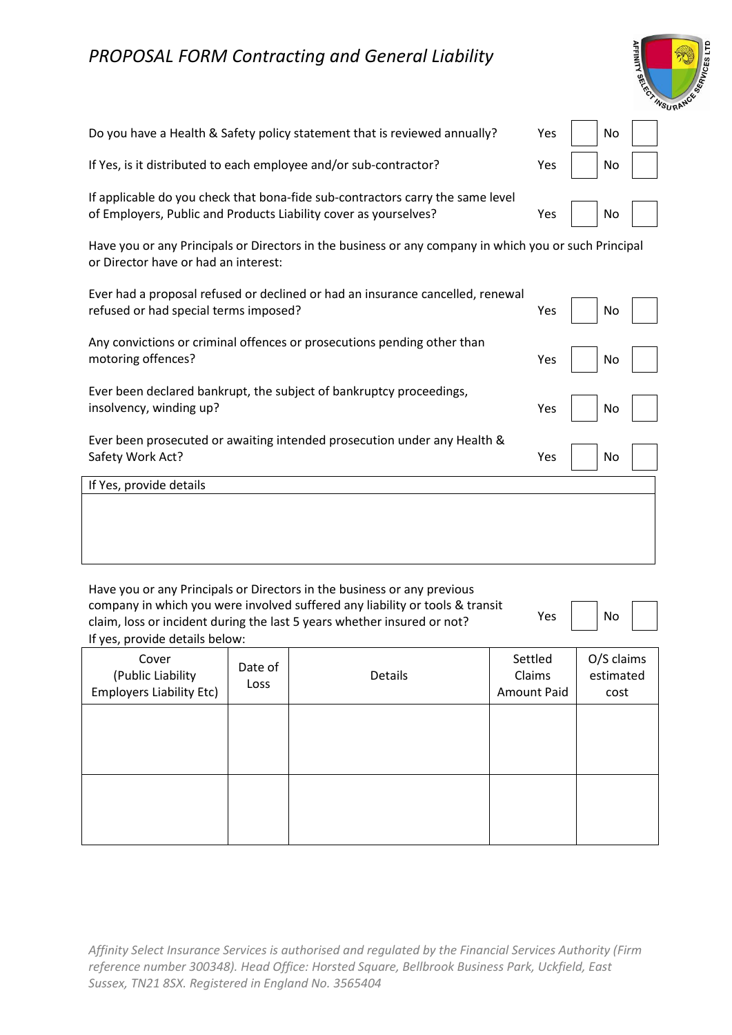| <b>REGISTRADE CRIPPS AND REGISTER</b> |
|---------------------------------------|
|                                       |

| Do you have a Health & Safety policy statement that is reviewed annually?      | Yes $\vert$ $\vert$ No |  |
|--------------------------------------------------------------------------------|------------------------|--|
| If Yes, is it distributed to each employee and/or sub-contractor?              | Yes   No               |  |
| If applicable do you check that bona-fide sub-contractors carry the same level |                        |  |

of Employers, Public and Products Liability cover as yourselves? The Moston Messon Messon No. 1996

Have you or any Principals or Directors in the business or any company in which you or such Principal or Director have or had an interest:

| Ever had a proposal refused or declined or had an insurance cancelled, renewal<br>refused or had special terms imposed? | Yes | No |  |
|-------------------------------------------------------------------------------------------------------------------------|-----|----|--|
| Any convictions or criminal offences or prosecutions pending other than<br>motoring offences?                           | Yes | No |  |
| Ever been declared bankrupt, the subject of bankruptcy proceedings,<br>insolvency, winding up?                          | Yes | No |  |
| Ever been prosecuted or awaiting intended prosecution under any Health &<br>Safety Work Act?                            | Yes | No |  |
| If Yes, provide details                                                                                                 |     |    |  |
|                                                                                                                         |     |    |  |

Have you or any Principals or Directors in the business or any previous company in which you were involved suffered any liability or tools & transit company in which you were involved samered any hability or tools a transit<br>claim, loss or incident during the last 5 years whether insured or not? If yes, provide details below:

| ١Ç | No |  |
|----|----|--|
|    |    |  |

| ii yes, provide actually below.                               |                 |         |                                         |                                 |
|---------------------------------------------------------------|-----------------|---------|-----------------------------------------|---------------------------------|
| Cover<br>(Public Liability<br><b>Employers Liability Etc)</b> | Date of<br>Loss | Details | Settled<br>Claims<br><b>Amount Paid</b> | O/S claims<br>estimated<br>cost |
|                                                               |                 |         |                                         |                                 |
|                                                               |                 |         |                                         |                                 |